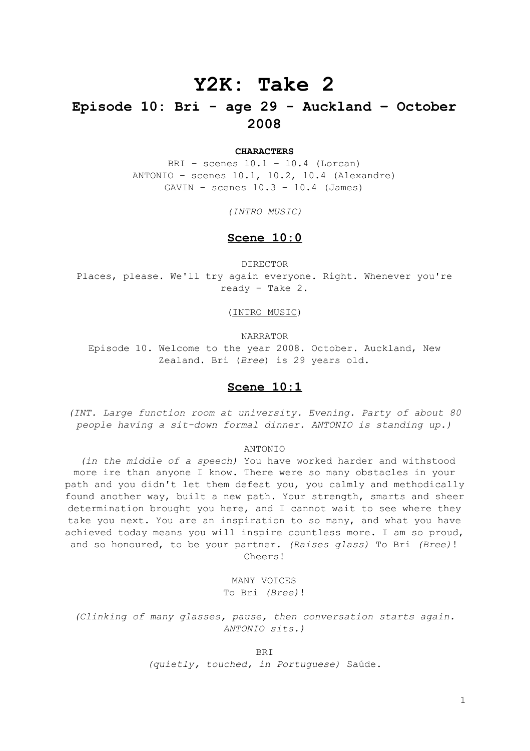# **Y2K: Take 2**

# **Episode 10: Bri - age 29 - Auckland – October 2008**

### **CHARACTERS**

BRI - scenes  $10.1 - 10.4$  (Lorcan) ANTONIO – scenes 10.1, 10.2, 10.4 (Alexandre) GAVIN – scenes  $10.3 - 10.4$  (James)

*(INTRO MUSIC)*

# **Scene 10:0**

DIRECTOR Places, please. We'll try again everyone. Right. Whenever you're ready - Take 2.

(INTRO MUSIC)

NARRATOR

Episode 10. Welcome to the year 2008. October. Auckland, New Zealand. Bri (*Bree*) is 29 years old.

# **Scene 10:1**

*(INT. Large function room at university. Evening. Party of about 80 people having a sit-down formal dinner. ANTONIO is standing up.)*

### ANTONIO

*(in the middle of a speech)* You have worked harder and withstood more ire than anyone I know. There were so many obstacles in your path and you didn't let them defeat you, you calmly and methodically found another way, built a new path. Your strength, smarts and sheer determination brought you here, and I cannot wait to see where they take you next. You are an inspiration to so many, and what you have achieved today means you will inspire countless more. I am so proud, and so honoured, to be your partner. *(Raises glass)* To Bri *(Bree)*! Cheers!

> MANY VOICES To Bri *(Bree)*!

*(Clinking of many glasses, pause, then conversation starts again. ANTONIO sits.)*

**BRT** 

*(quietly, touched, in Portuguese)* Saúde.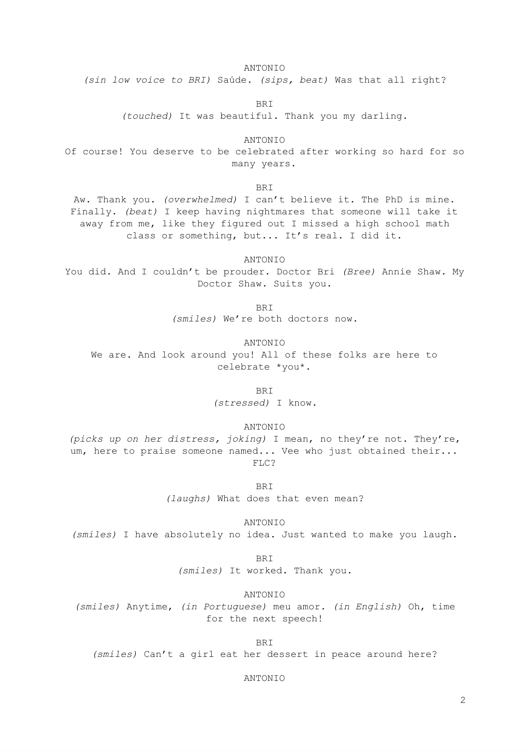ANTONIO

*(sin low voice to BRI)* Saúde. *(sips, beat)* Was that all right?

BRI

*(touched)* It was beautiful. Thank you my darling.

ANTONIO

Of course! You deserve to be celebrated after working so hard for so many years.

BRI

Aw. Thank you. *(overwhelmed)* I can't believe it. The PhD is mine. Finally. *(beat)* I keep having nightmares that someone will take it away from me, like they figured out I missed a high school math class or something, but... It's real. I did it.

ANTONIO

You did. And I couldn't be prouder. Doctor Bri *(Bree)* Annie Shaw. My Doctor Shaw. Suits you.

BRI

*(smiles)* We're both doctors now.

ANTONIO

We are. And look around you! All of these folks are here to celebrate \*you\*.

BRI

*(stressed)* I know.

ANTONIO

*(picks up on her distress, joking)* I mean, no they're not. They're, um, here to praise someone named... Vee who just obtained their... FLC?

BRI

*(laughs)* What does that even mean?

ANTONIO

*(smiles)* I have absolutely no idea. Just wanted to make you laugh.

BRI

*(smiles)* It worked. Thank you.

ANTONIO

*(smiles)* Anytime, *(in Portuguese)* meu amor. *(in English)* Oh, time for the next speech!

BRI

*(smiles)* Can't a girl eat her dessert in peace around here?

ANTONIO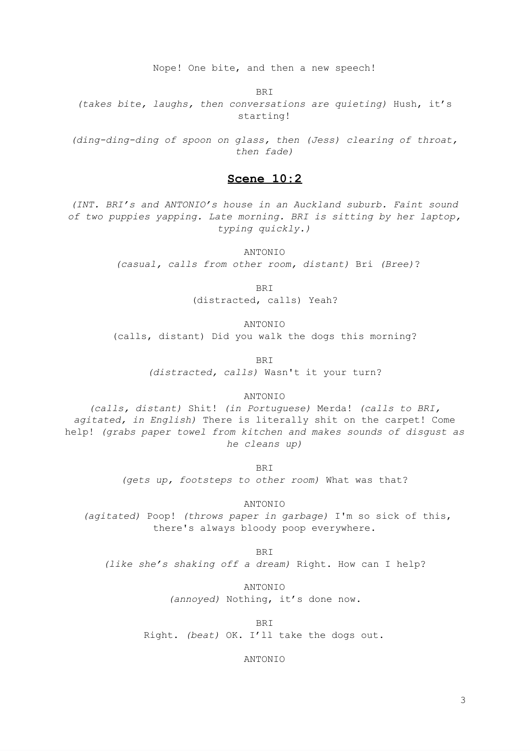Nope! One bite, and then a new speech!

BRI

*(takes bite, laughs, then conversations are quieting)* Hush, it's starting!

*(ding-ding-ding of spoon on glass, then (Jess) clearing of throat, then fade)*

# **Scene 10:2**

*(INT. BRI's and ANTONIO's house in an Auckland suburb. Faint sound of two puppies yapping. Late morning. BRI is sitting by her laptop, typing quickly.)*

> ANTONIO *(casual, calls from other room, distant)* Bri *(Bree)*?

> > BRI

(distracted, calls) Yeah?

# ANTONIO

(calls, distant) Did you walk the dogs this morning?

BRI

*(distracted, calls)* Wasn't it your turn?

## ANTONIO

*(calls, distant)* Shit! *(in Portuguese)* Merda! *(calls to BRI, agitated, in English)* There is literally shit on the carpet! Come help! *(grabs paper towel from kitchen and makes sounds of disgust as he cleans up)*

> BRI *(gets up, footsteps to other room)* What was that?

> > ANTONIO

*(agitated)* Poop! *(throws paper in garbage)* I'm so sick of this, there's always bloody poop everywhere.

BRI *(like she's shaking off a dream)* Right. How can I help?

> ANTONIO *(annoyed)* Nothing, it's done now.

> > BRI

Right. *(beat)* OK. I'll take the dogs out.

## ANTONIO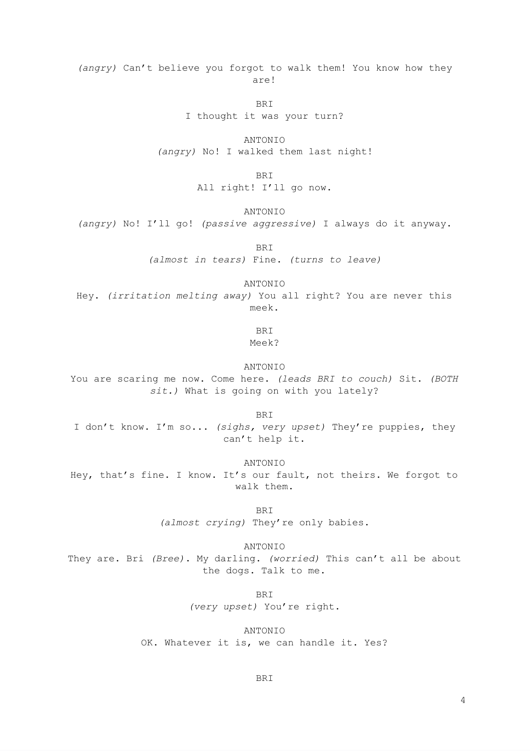*(angry)* Can't believe you forgot to walk them! You know how they are!

BRI

I thought it was your turn?

ANTONIO *(angry)* No! I walked them last night!

BRI

All right! I'll go now.

ANTONIO

*(angry)* No! I'll go! *(passive aggressive)* I always do it anyway.

BRI

*(almost in tears)* Fine. *(turns to leave)*

ANTONIO

Hey. *(irritation melting away)* You all right? You are never this meek.

> BRI Meek?

ANTONIO

You are scaring me now. Come here. *(leads BRI to couch)* Sit. *(BOTH sit.)* What is going on with you lately?

BRI

I don't know. I'm so... *(sighs, very upset)* They're puppies, they can't help it.

ANTONIO

Hey, that's fine. I know. It's our fault, not theirs. We forgot to walk them.

BRI

*(almost crying)* They're only babies.

ANTONIO

They are. Bri *(Bree)*. My darling. *(worried)* This can't all be about the dogs. Talk to me.

> BRI *(very upset)* You're right.

ANTONIO OK. Whatever it is, we can handle it. Yes?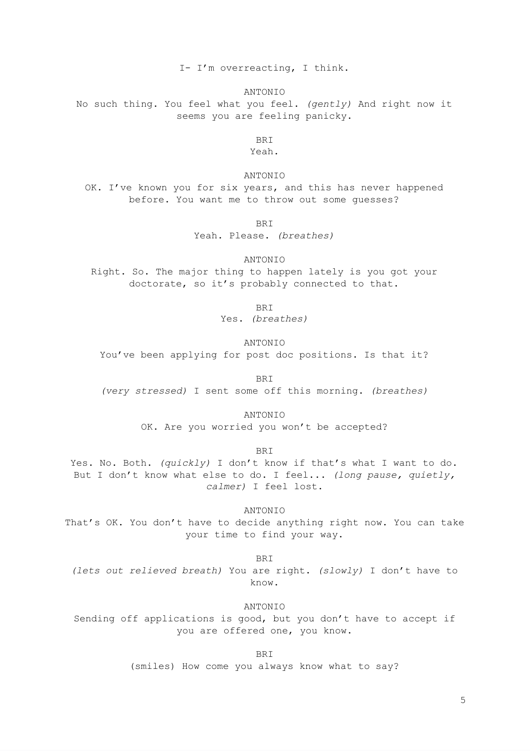I- I'm overreacting, I think.

ANTONIO

No such thing. You feel what you feel. *(gently)* And right now it seems you are feeling panicky.

BRI

Yeah.

ANTONIO

OK. I've known you for six years, and this has never happened before. You want me to throw out some guesses?

BRI

Yeah. Please. *(breathes)*

ANTONIO

Right. So. The major thing to happen lately is you got your doctorate, so it's probably connected to that.

BRI

Yes. *(breathes)*

ANTONIO

You've been applying for post doc positions. Is that it?

BRI

*(very stressed)* I sent some off this morning. *(breathes)*

ANTONIO

OK. Are you worried you won't be accepted?

BRI

Yes. No. Both. *(quickly)* I don't know if that's what I want to do. But I don't know what else to do. I feel... *(long pause, quietly, calmer)* I feel lost.

ANTONIO

That's OK. You don't have to decide anything right now. You can take your time to find your way.

BRI

*(lets out relieved breath)* You are right. *(slowly)* I don't have to know.

ANTONIO

Sending off applications is good, but you don't have to accept if you are offered one, you know.

BRI

(smiles) How come you always know what to say?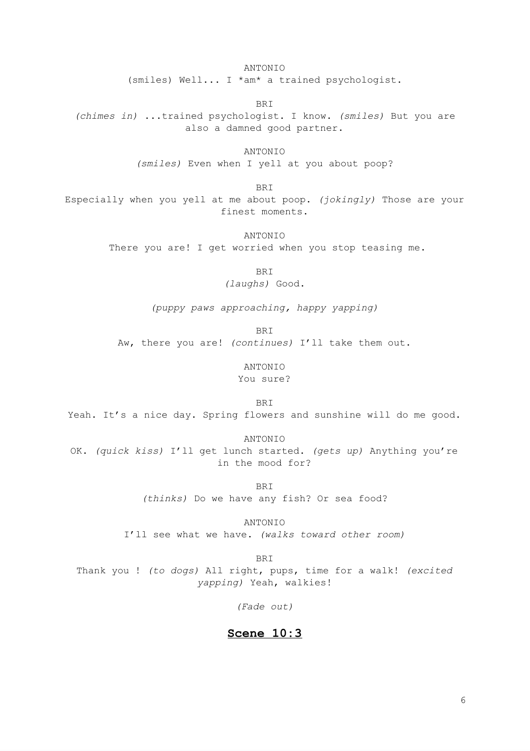ANTONIO

(smiles) Well... I \*am\* a trained psychologist.

BRI

*(chimes in)* ...trained psychologist. I know. *(smiles)* But you are also a damned good partner.

ANTONIO

*(smiles)* Even when I yell at you about poop?

BRI

Especially when you yell at me about poop. *(jokingly)* Those are your finest moments.

ANTONIO

There you are! I get worried when you stop teasing me.

BRI

*(laughs)* Good.

*(puppy paws approaching, happy yapping)*

BRI Aw, there you are! *(continues)* I'll take them out.

> ANTONIO You sure?

BRI

Yeah. It's a nice day. Spring flowers and sunshine will do me good.

ANTONIO

OK. *(quick kiss)* I'll get lunch started. *(gets up)* Anything you're in the mood for?

BRI

*(thinks)* Do we have any fish? Or sea food?

ANTONIO

I'll see what we have. *(walks toward other room)*

BRI

Thank you ! *(to dogs)* All right, pups, time for a walk! *(excited yapping)* Yeah, walkies!

*(Fade out)*

# **Scene 10:3**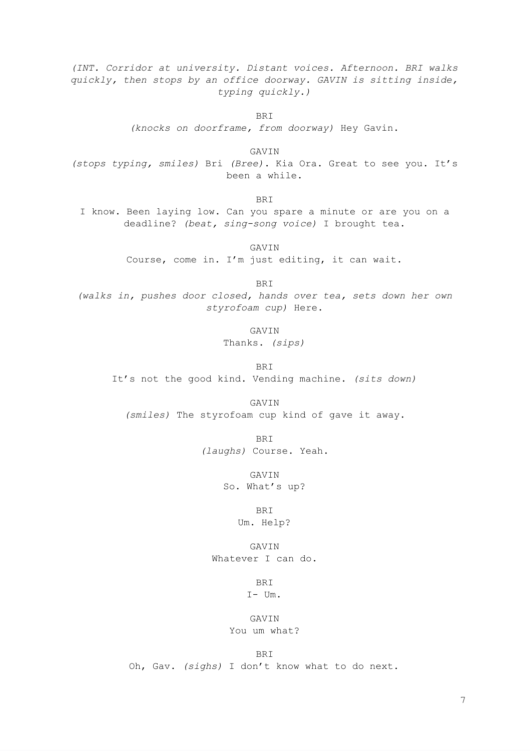*(INT. Corridor at university. Distant voices. Afternoon. BRI walks quickly, then stops by an office doorway. GAVIN is sitting inside, typing quickly.)*

BRI

*(knocks on doorframe, from doorway)* Hey Gavin.

GAVIN

*(stops typing, smiles)* Bri *(Bree)*. Kia Ora. Great to see you. It's been a while.

BRI

I know. Been laying low. Can you spare a minute or are you on a deadline? *(beat, sing-song voice)* I brought tea.

GAVIN

Course, come in. I'm just editing, it can wait.

BRI

*(walks in, pushes door closed, hands over tea, sets down her own styrofoam cup)* Here.

GAVIN

Thanks. *(sips)*

BRI It's not the good kind. Vending machine. *(sits down)*

GAVIN *(smiles)* The styrofoam cup kind of gave it away.

> BRI *(laughs)* Course. Yeah.

> > GAVIN So. What's up?

> > > BRI Um. Help?

GAVIN Whatever I can do.

BRI

 $I-$  Um.

GAVIN You um what?

BRI

Oh, Gav. *(sighs)* I don't know what to do next.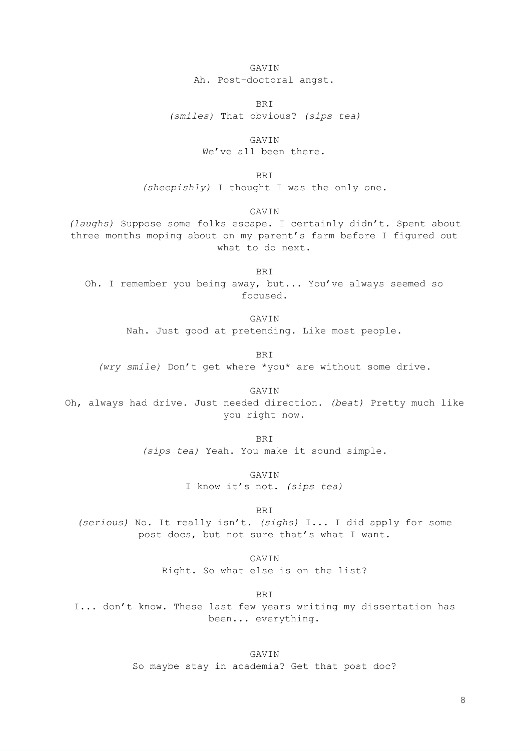GAVIN Ah. Post-doctoral angst.

BRI *(smiles)* That obvious? *(sips tea)*

> GAVIN We've all been there.

BRI *(sheepishly)* I thought I was the only one.

GAVIN

*(laughs)* Suppose some folks escape. I certainly didn't. Spent about three months moping about on my parent's farm before I figured out what to do next.

BRI Oh. I remember you being away, but... You've always seemed so focused.

GAVIN

Nah. Just good at pretending. Like most people.

BRI

*(wry smile)* Don't get where \*you\* are without some drive.

GAVIN

Oh, always had drive. Just needed direction. *(beat)* Pretty much like you right now.

> BRI *(sips tea)* Yeah. You make it sound simple.

> > GAVIN

I know it's not. *(sips tea)*

BRI

*(serious)* No. It really isn't. *(sighs)* I... I did apply for some post docs, but not sure that's what I want.

GAVIN

Right. So what else is on the list?

BRI

I... don't know. These last few years writing my dissertation has been... everything.

> GAVIN So maybe stay in academia? Get that post doc?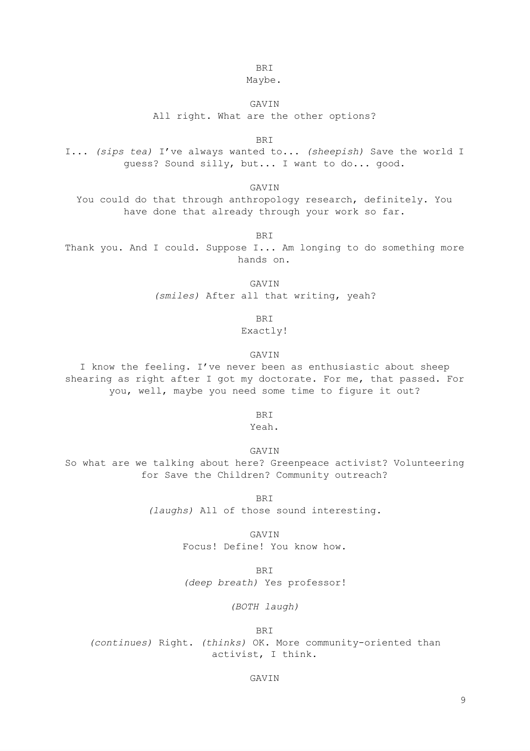### Maybe.

# GAVIN

All right. What are the other options?

BRI

I... *(sips tea)* I've always wanted to... *(sheepish)* Save the world I guess? Sound silly, but... I want to do... good.

#### GAVIN

You could do that through anthropology research, definitely. You have done that already through your work so far.

BRI

Thank you. And I could. Suppose I... Am longing to do something more hands on.

> GAVIN *(smiles)* After all that writing, yeah?

> > BRI

Exactly!

### GAVIN

I know the feeling. I've never been as enthusiastic about sheep shearing as right after I got my doctorate. For me, that passed. For you, well, maybe you need some time to figure it out?

BRI

Yeah.

GAVIN

So what are we talking about here? Greenpeace activist? Volunteering for Save the Children? Community outreach?

BRI

*(laughs)* All of those sound interesting.

GAVIN Focus! Define! You know how.

BRI *(deep breath)* Yes professor!

*(BOTH laugh)*

BRI

*(continues)* Right. *(thinks)* OK. More community-oriented than activist, I think.

## GAVIN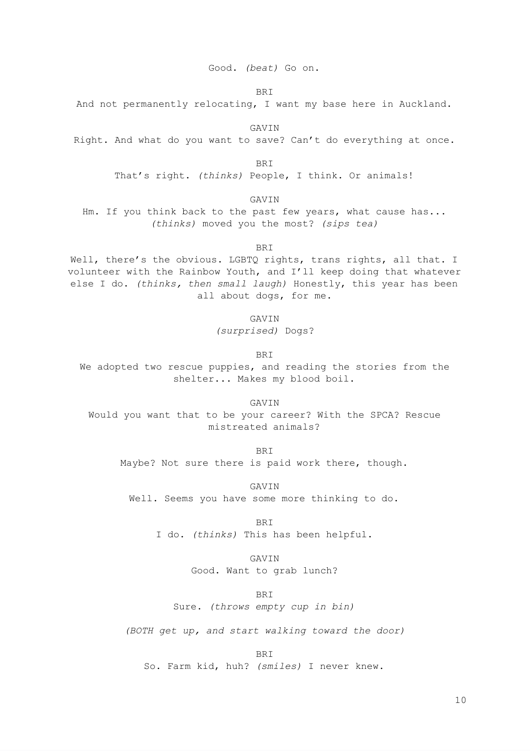Good. *(beat)* Go on.

BRI

And not permanently relocating, I want my base here in Auckland.

GAVIN

Right. And what do you want to save? Can't do everything at once.

BRI

That's right. *(thinks)* People, I think. Or animals!

GAVIN

Hm. If you think back to the past few years, what cause has... *(thinks)* moved you the most? *(sips tea)*

BRI

Well, there's the obvious. LGBTQ rights, trans rights, all that. I volunteer with the Rainbow Youth, and I'll keep doing that whatever else I do. *(thinks, then small laugh)* Honestly, this year has been all about dogs, for me.

GAVIN

*(surprised)* Dogs?

BRI

We adopted two rescue puppies, and reading the stories from the shelter... Makes my blood boil.

GAVIN Would you want that to be your career? With the SPCA? Rescue mistreated animals?

BRI Maybe? Not sure there is paid work there, though.

GAVIN Well. Seems you have some more thinking to do.

**BRT** 

I do. *(thinks)* This has been helpful.

GAVIN

Good. Want to grab lunch?

BRI

Sure. *(throws empty cup in bin)*

*(BOTH get up, and start walking toward the door)*

BRI

So. Farm kid, huh? *(smiles)* I never knew.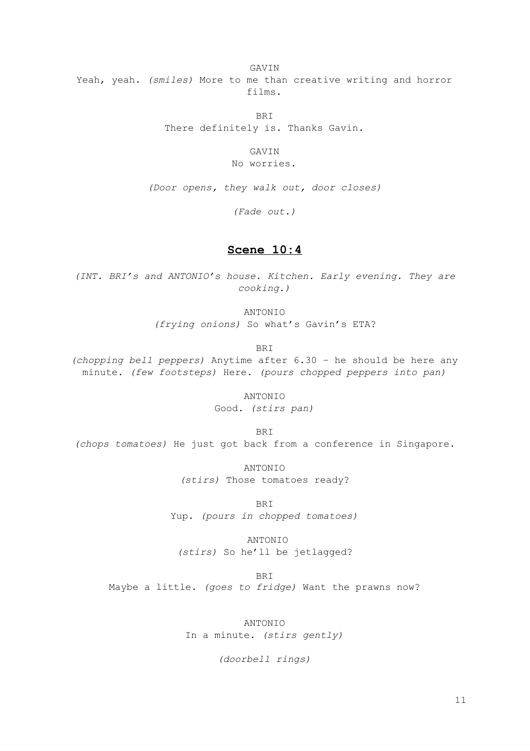GAVIN Yeah, yeah. *(smiles)* More to me than creative writing and horror films.

**BRT** 

There definitely is. Thanks Gavin.

GAVIN No worries.

*(Door opens, they walk out, door closes)*

*(Fade out.)*

# **Scene 10:4**

*(INT. BRI's and ANTONIO's house. Kitchen. Early evening. They are cooking.)*

ANTONIO

*(frying onions)* So what's Gavin's ETA?

BRI

*(chopping bell peppers)* Anytime after 6.30 – he should be here any minute. *(few footsteps)* Here. *(pours chopped peppers into pan)*

ANTONIO

Good. *(stirs pan)*

BRI

*(chops tomatoes)* He just got back from a conference in Singapore.

ANTONIO *(stirs)* Those tomatoes ready?

BRI Yup. *(pours in chopped tomatoes)*

ANTONIO *(stirs)* So he'll be jetlagged?

BRI Maybe a little. *(goes to fridge)* Want the prawns now?

> ANTONIO In a minute. *(stirs gently)*

> > *(doorbell rings)*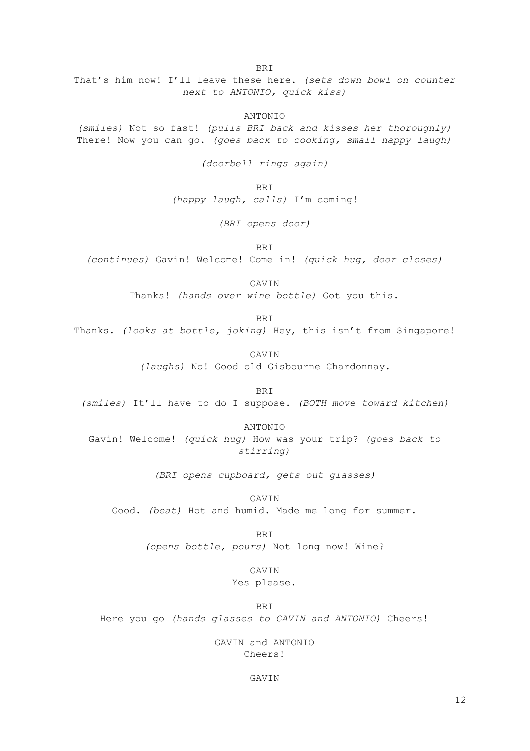That's him now! I'll leave these here. *(sets down bowl on counter next to ANTONIO, quick kiss)*

ANTONIO *(smiles)* Not so fast! *(pulls BRI back and kisses her thoroughly)*

*(doorbell rings again)*

There! Now you can go. *(goes back to cooking, small happy laugh)*

BRI *(happy laugh, calls)* I'm coming!

*(BRI opens door)*

BRI

*(continues)* Gavin! Welcome! Come in! *(quick hug, door closes)*

GAVIN

Thanks! *(hands over wine bottle)* Got you this.

BRI

Thanks. *(looks at bottle, joking)* Hey, this isn't from Singapore!

GAVIN *(laughs)* No! Good old Gisbourne Chardonnay.

BRI *(smiles)* It'll have to do I suppose. *(BOTH move toward kitchen)*

ANTONIO

Gavin! Welcome! *(quick hug)* How was your trip? *(goes back to stirring)*

*(BRI opens cupboard, gets out glasses)*

GAVIN Good. *(beat)* Hot and humid. Made me long for summer.

> BRI *(opens bottle, pours)* Not long now! Wine?

> > GAVIN Yes please.

BRI Here you go *(hands glasses to GAVIN and ANTONIO)* Cheers!

> GAVIN and ANTONIO Cheers!

> > GAVIN

BRI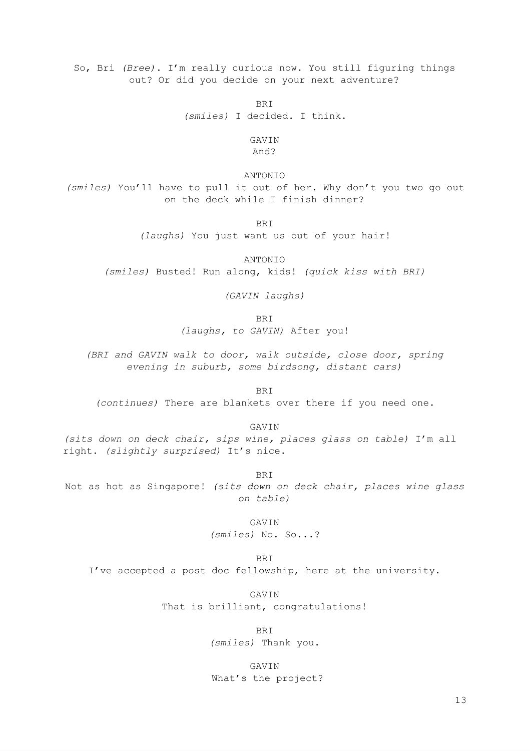So, Bri *(Bree)*. I'm really curious now. You still figuring things out? Or did you decide on your next adventure?

> **BRT** *(smiles)* I decided. I think.

### GAVIN And?

ANTONIO

*(smiles)* You'll have to pull it out of her. Why don't you two go out on the deck while I finish dinner?

BRI

*(laughs)* You just want us out of your hair!

ANTONIO

*(smiles)* Busted! Run along, kids! *(quick kiss with BRI)*

*(GAVIN laughs)*

BRI *(laughs, to GAVIN)* After you!

*(BRI and GAVIN walk to door, walk outside, close door, spring evening in suburb, some birdsong, distant cars)*

BRI *(continues)* There are blankets over there if you need one.

GAVIN *(sits down on deck chair, sips wine, places glass on table)* I'm all right. *(slightly surprised)* It's nice.

BRI Not as hot as Singapore! *(sits down on deck chair, places wine glass on table)*

> GAVIN *(smiles)* No. So...?

BRI I've accepted a post doc fellowship, here at the university.

> GAVIN That is brilliant, congratulations!

> > BRI *(smiles)* Thank you.

GAVIN What's the project?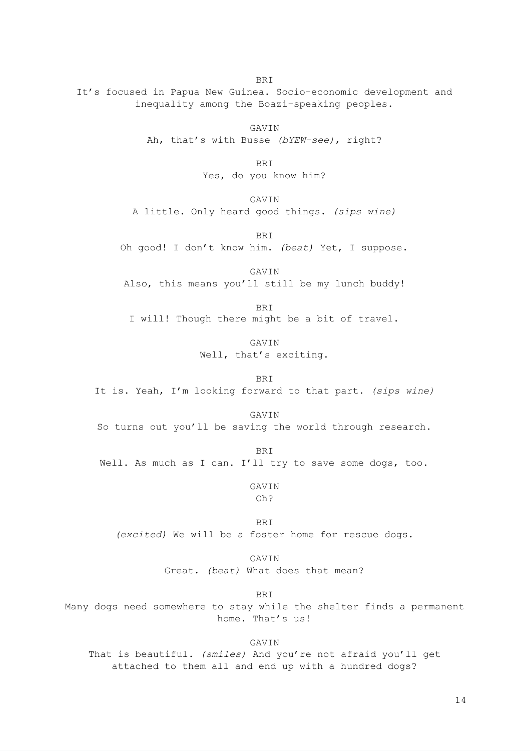BRI It's focused in Papua New Guinea. Socio-economic development and inequality among the Boazi-speaking peoples.

> GAVIN Ah, that's with Busse *(bYEW-see)*, right?

> > BRI Yes, do you know him?

> > > GAVIN

A little. Only heard good things. *(sips wine)*

BRI

Oh good! I don't know him. *(beat)* Yet, I suppose.

GAVIN Also, this means you'll still be my lunch buddy!

BRI I will! Though there might be a bit of travel.

> GAVIN Well, that's exciting.

BRI It is. Yeah, I'm looking forward to that part. *(sips wine)*

GAVIN

So turns out you'll be saving the world through research.

BRI Well. As much as I can. I'll try to save some dogs, too.

> GAVIN Oh?

> > BRI

*(excited)* We will be a foster home for rescue dogs.

GAVIN

Great. *(beat)* What does that mean?

BRI

Many dogs need somewhere to stay while the shelter finds a permanent home. That's us!

GAVIN

That is beautiful. *(smiles)* And you're not afraid you'll get attached to them all and end up with a hundred dogs?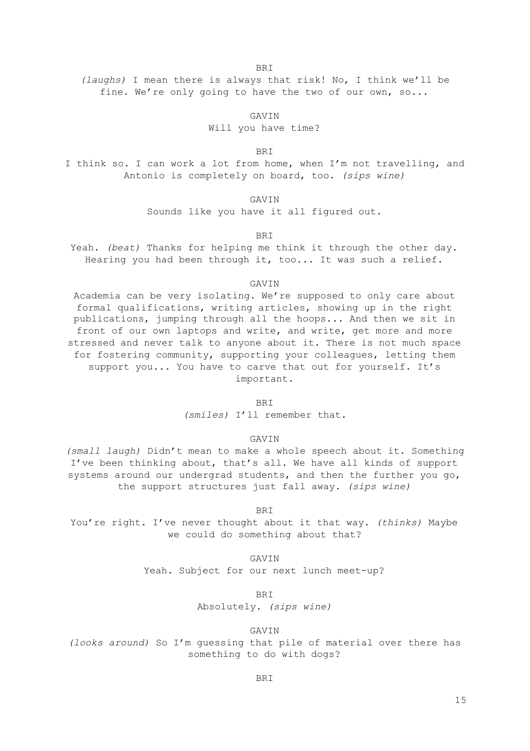**BRT** 

*(laughs)* I mean there is always that risk! No, I think we'll be fine. We're only going to have the two of our own, so...

GAVIN

Will you have time?

BRI

I think so. I can work a lot from home, when I'm not travelling, and Antonio is completely on board, too. *(sips wine)*

GAVIN

Sounds like you have it all figured out.

BRI

Yeah. *(beat)* Thanks for helping me think it through the other day. Hearing you had been through it, too... It was such a relief.

GAVIN

Academia can be very isolating. We're supposed to only care about formal qualifications, writing articles, showing up in the right publications, jumping through all the hoops... And then we sit in front of our own laptops and write, and write, get more and more stressed and never talk to anyone about it. There is not much space for fostering community, supporting your colleagues, letting them support you... You have to carve that out for yourself. It's important.

BRI

*(smiles)* I'll remember that.

GAVIN

*(small laugh)* Didn't mean to make a whole speech about it. Something I've been thinking about, that's all. We have all kinds of support systems around our undergrad students, and then the further you go, the support structures just fall away. *(sips wine)*

BRI

You're right. I've never thought about it that way. *(thinks)* Maybe we could do something about that?

GAVIN

Yeah. Subject for our next lunch meet-up?

**BRT** 

Absolutely. *(sips wine)*

GAVIN

*(looks around)* So I'm guessing that pile of material over there has something to do with dogs?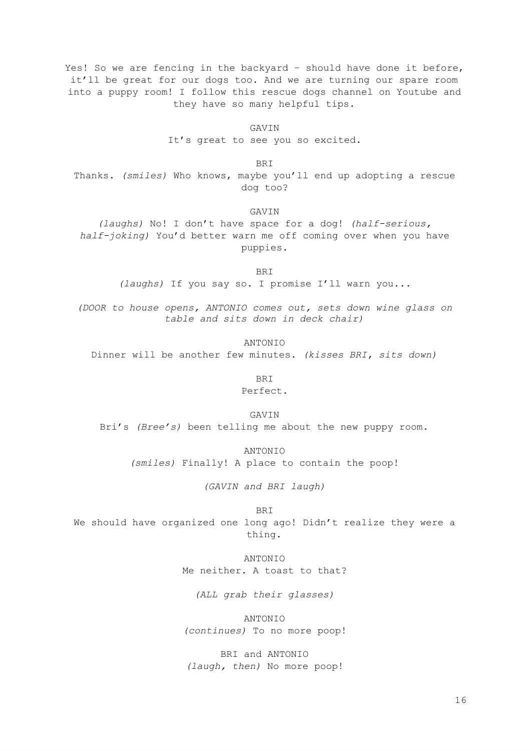Yes! So we are fencing in the backyard – should have done it before, it'll be great for our dogs too. And we are turning our spare room into a puppy room! I follow this rescue dogs channel on Youtube and they have so many helpful tips.

GAVIN

It's great to see you so excited.

BRI

Thanks. *(smiles)* Who knows, maybe you'll end up adopting a rescue dog too?

GAVIN

*(laughs)* No! I don't have space for a dog! *(half-serious, half-joking)* You'd better warn me off coming over when you have puppies.

BRI

*(laughs)* If you say so. I promise I'll warn you...

*(DOOR to house opens, ANTONIO comes out, sets down wine glass on table and sits down in deck chair)*

ANTONIO

Dinner will be another few minutes. *(kisses BRI, sits down)*

BRI

Perfect.

GAVIN

Bri's *(Bree's)* been telling me about the new puppy room.

ANTONIO

*(smiles)* Finally! A place to contain the poop!

*(GAVIN and BRI laugh)*

BRI

We should have organized one long ago! Didn't realize they were a thing.

> ANTONIO Me neither. A toast to that?

*(ALL grab their glasses)*

ANTONIO *(continues)* To no more poop!

BRI and ANTONIO *(laugh, then)* No more poop!